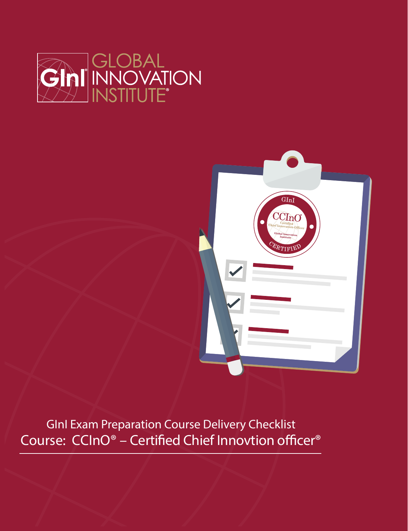



GInI Exam Preparation Course Delivery Checklist Course: CCInO<sup>®</sup> - Certified Chief Innovtion officer<sup>®</sup>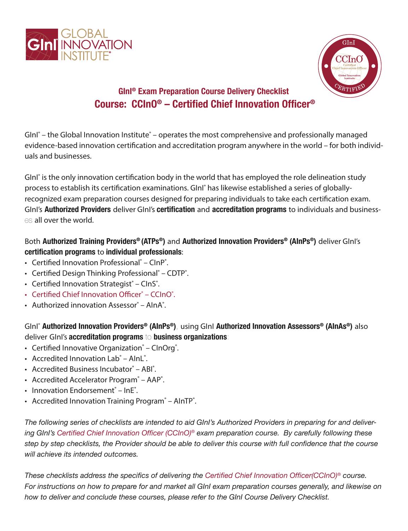



# **GInI® Exam Preparation Course Delivery Checklist Course: CCInO® – Certified Chief Innovation Officer®**

GInI<sup>®</sup> – the Global Innovation Institute<sup>®</sup> – operates the most comprehensive and professionally managed evidence-based innovation certification and accreditation program anywhere in the world – for both individuals and businesses.

GInI<sup>®</sup> is the only innovation certification body in the world that has employed the role delineation study process to establish its certification examinations. GInI<sup>®</sup> has likewise established a series of globallyrecognized exam preparation courses designed for preparing individuals to take each certification exam. GInI's **Authorized Providers** deliver GInI's **certification** and **accreditation programs** to individuals and businesses all over the world.

#### Both **Authorized Training Providers® (ATPs®)** and **Authorized Innovation Providers® (AInPs®)** deliver GInI's **certification programs** to **individual professionals**:

- Certified Innovation Professional<sup>®</sup> ClnP<sup>®</sup>.
- Certified Design Thinking Professional<sup>®</sup> CDTP<sup>®</sup>.
- Certified Innovation Strategist® ClnS®.
- Certified Chief Innovation Officer® CCInO®.
- Authorized innovation Assessor® AlnA®.

GInI® **Authorized Innovation Providers® (AInPs®)**, using GInI **Authorized Innovation Assessors® (AInAs®)** also deliver GInI's **accreditation programs** to **business organizations**:

- Certified Innovative Organization® CInOrg®.
- Accredited Innovation Lab® AInL®.
- Accredited Business Incubator® ABI®.
- Accredited Accelerator Program<sup>®</sup> AAP<sup>®</sup>.
- Innovation Endorsement® InE®.
- Accredited Innovation Training Program<sup>®</sup> AInTP<sup>®</sup>.

*The following series of checklists are intended to aid GInI's Authorized Providers in preparing for and delivering GInI's Certified Chief Innovation Officer (CCInO)® exam preparation course. By carefully following these step by step checklists, the Provider should be able to deliver this course with full confidence that the course will achieve its intended outcomes.*

*These checklists address the specifics of delivering the Certified Chief Innovation Officer(CCInO)® course. For instructions on how to prepare for and market all GInI exam preparation courses generally, and likewise on how to deliver and conclude these courses, please refer to the GInI Course Delivery Checklist.*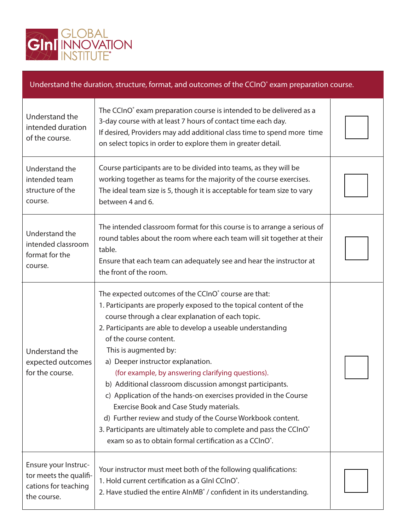

## Understand the duration, structure, format, and outcomes of the CCInO<sup>®</sup> exam preparation course.

| Understand the<br>intended duration<br>of the course.                                 | The CCInO <sup>®</sup> exam preparation course is intended to be delivered as a<br>3-day course with at least 7 hours of contact time each day.<br>If desired, Providers may add additional class time to spend more time<br>on select topics in order to explore them in greater detail.                                                                                                                                                                                                                                                                                                                                                                                                                                                                                                      |  |
|---------------------------------------------------------------------------------------|------------------------------------------------------------------------------------------------------------------------------------------------------------------------------------------------------------------------------------------------------------------------------------------------------------------------------------------------------------------------------------------------------------------------------------------------------------------------------------------------------------------------------------------------------------------------------------------------------------------------------------------------------------------------------------------------------------------------------------------------------------------------------------------------|--|
| Understand the<br>intended team<br>structure of the<br>course.                        | Course participants are to be divided into teams, as they will be<br>working together as teams for the majority of the course exercises.<br>The ideal team size is 5, though it is acceptable for team size to vary<br>between 4 and 6.                                                                                                                                                                                                                                                                                                                                                                                                                                                                                                                                                        |  |
| Understand the<br>intended classroom<br>format for the<br>course.                     | The intended classroom format for this course is to arrange a serious of<br>round tables about the room where each team will sit together at their<br>table.<br>Ensure that each team can adequately see and hear the instructor at<br>the front of the room.                                                                                                                                                                                                                                                                                                                                                                                                                                                                                                                                  |  |
| Understand the<br>expected outcomes<br>for the course.                                | The expected outcomes of the CCInO <sup>®</sup> course are that:<br>1. Participants are properly exposed to the topical content of the<br>course through a clear explanation of each topic.<br>2. Participants are able to develop a useable understanding<br>of the course content.<br>This is augmented by:<br>a) Deeper instructor explanation.<br>(for example, by answering clarifying questions).<br>b) Additional classroom discussion amongst participants.<br>c) Application of the hands-on exercises provided in the Course<br>Exercise Book and Case Study materials.<br>d) Further review and study of the Course Workbook content.<br>3. Participants are ultimately able to complete and pass the CCInO®<br>exam so as to obtain formal certification as a CCInO <sup>°</sup> . |  |
| Ensure your Instruc-<br>tor meets the qualifi-<br>cations for teaching<br>the course. | Your instructor must meet both of the following qualifications:<br>1. Hold current certification as a Glnl CCInO®.<br>2. Have studied the entire AlnMB° / confident in its understanding.                                                                                                                                                                                                                                                                                                                                                                                                                                                                                                                                                                                                      |  |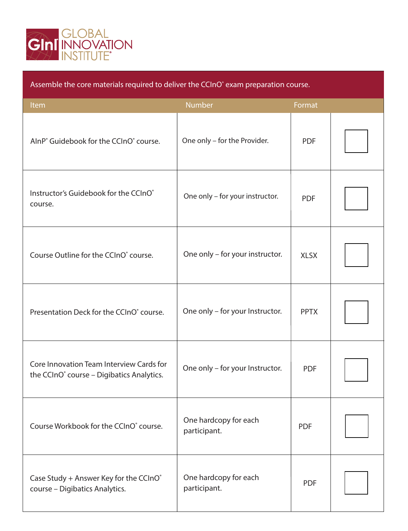

| Assemble the core materials required to deliver the CCInO <sup>®</sup> exam preparation course.   |                                       |             |  |
|---------------------------------------------------------------------------------------------------|---------------------------------------|-------------|--|
| Item                                                                                              | <b>Number</b>                         | Format      |  |
| AlnP° Guidebook for the CCInO° course.                                                            | One only - for the Provider.          | <b>PDF</b>  |  |
| Instructor's Guidebook for the CCInO®<br>course.                                                  | One only - for your instructor.       | <b>PDF</b>  |  |
| Course Outline for the CCInO <sup>®</sup> course.                                                 | One only - for your instructor.       | <b>XLSX</b> |  |
| Presentation Deck for the CCInO <sup>®</sup> course.                                              | One only - for your Instructor.       | <b>PPTX</b> |  |
| Core Innovation Team Interview Cards for<br>the CCInO <sup>®</sup> course - Digibatics Analytics. | One only - for your Instructor.       | <b>PDF</b>  |  |
| Course Workbook for the CCInO <sup>®</sup> course.                                                | One hardcopy for each<br>participant. | <b>PDF</b>  |  |
| Case Study + Answer Key for the CCInO®<br>course - Digibatics Analytics.                          | One hardcopy for each<br>participant. | <b>PDF</b>  |  |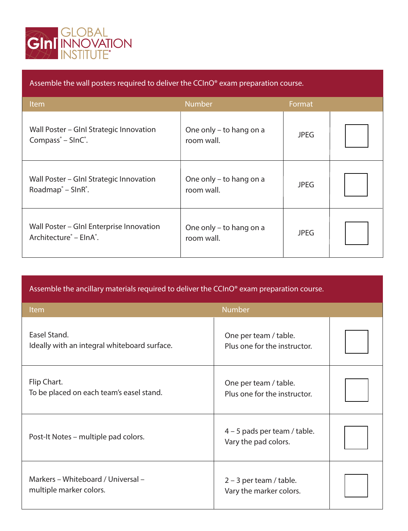

| Assemble the wall posters required to deliver the CCInO <sup>®</sup> exam preparation course. |                                       |             |  |
|-----------------------------------------------------------------------------------------------|---------------------------------------|-------------|--|
| Item                                                                                          | <b>Number</b>                         | Format      |  |
| Wall Poster – Glnl Strategic Innovation<br>Compass <sup>®</sup> – SlnC <sup>®</sup> .         | One only – to hang on a<br>room wall. | <b>JPEG</b> |  |
| Wall Poster – Glnl Strategic Innovation<br>Roadmap <sup>®</sup> – SlnR <sup>®</sup> .         | One only – to hang on a<br>room wall. | <b>JPEG</b> |  |
| Wall Poster - Glnl Enterprise Innovation<br>Architecture <sup>®</sup> - ElnA <sup>®</sup> .   | One only - to hang on a<br>room wall. | <b>JPEG</b> |  |

Assemble the ancillary materials required to deliver the CCInO® exam preparation course.

| Item                                                          | <b>Number</b>                                          |  |
|---------------------------------------------------------------|--------------------------------------------------------|--|
| Easel Stand.<br>Ideally with an integral whiteboard surface.  | One per team / table.<br>Plus one for the instructor.  |  |
| Flip Chart.<br>To be placed on each team's easel stand.       | One per team / table.<br>Plus one for the instructor.  |  |
| Post-It Notes – multiple pad colors.                          | $4 - 5$ pads per team / table.<br>Vary the pad colors. |  |
| Markers - Whiteboard / Universal -<br>multiple marker colors. | $2 - 3$ per team / table.<br>Vary the marker colors.   |  |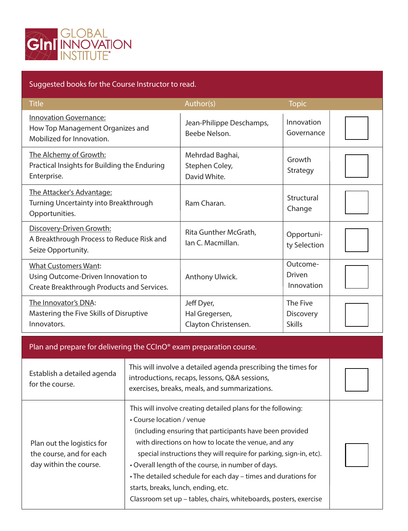

### Suggested books for the Course Instructor to read.

| <b>Title</b>                                                                                                    | Author(s)                                            | <b>Topic</b>                                  |  |
|-----------------------------------------------------------------------------------------------------------------|------------------------------------------------------|-----------------------------------------------|--|
| <b>Innovation Governance:</b><br>How Top Management Organizes and<br>Mobilized for Innovation.                  | Jean-Philippe Deschamps,<br>Beebe Nelson.            | Innovation<br>Governance                      |  |
| The Alchemy of Growth:<br>Practical Insights for Building the Enduring<br>Enterprise.                           | Mehrdad Baghai,<br>Stephen Coley,<br>David White.    | Growth<br>Strategy                            |  |
| The Attacker's Advantage:<br>Turning Uncertainty into Breakthrough<br>Opportunities.                            | Ram Charan.                                          | Structural<br>Change                          |  |
| Discovery-Driven Growth:<br>A Breakthrough Process to Reduce Risk and<br>Seize Opportunity.                     | Rita Gunther McGrath,<br>lan C. Macmillan.           | Opportuni-<br>ty Selection                    |  |
| <b>What Customers Want:</b><br>Using Outcome-Driven Innovation to<br>Create Breakthrough Products and Services. | Anthony Ulwick.                                      | Outcome-<br>Driven<br>Innovation              |  |
| The Innovator's DNA:<br>Mastering the Five Skills of Disruptive<br>Innovators.                                  | Jeff Dyer,<br>Hal Gregersen,<br>Clayton Christensen. | The Five<br><b>Discovery</b><br><b>Skills</b> |  |

### Plan and prepare for delivering the CCInO® exam preparation course.

| Establish a detailed agenda<br>for the course.                                   | This will involve a detailed agenda prescribing the times for<br>introductions, recaps, lessons, Q&A sessions,<br>exercises, breaks, meals, and summarizations.                                                                                                                                                                                                                                                                                                                                                        |  |
|----------------------------------------------------------------------------------|------------------------------------------------------------------------------------------------------------------------------------------------------------------------------------------------------------------------------------------------------------------------------------------------------------------------------------------------------------------------------------------------------------------------------------------------------------------------------------------------------------------------|--|
| Plan out the logistics for<br>the course, and for each<br>day within the course. | This will involve creating detailed plans for the following:<br>• Course location / venue<br>(including ensuring that participants have been provided<br>with directions on how to locate the venue, and any<br>special instructions they will require for parking, sign-in, etc).<br>• Overall length of the course, in number of days.<br>• The detailed schedule for each day – times and durations for<br>starts, breaks, lunch, ending, etc.<br>Classroom set up - tables, chairs, whiteboards, posters, exercise |  |